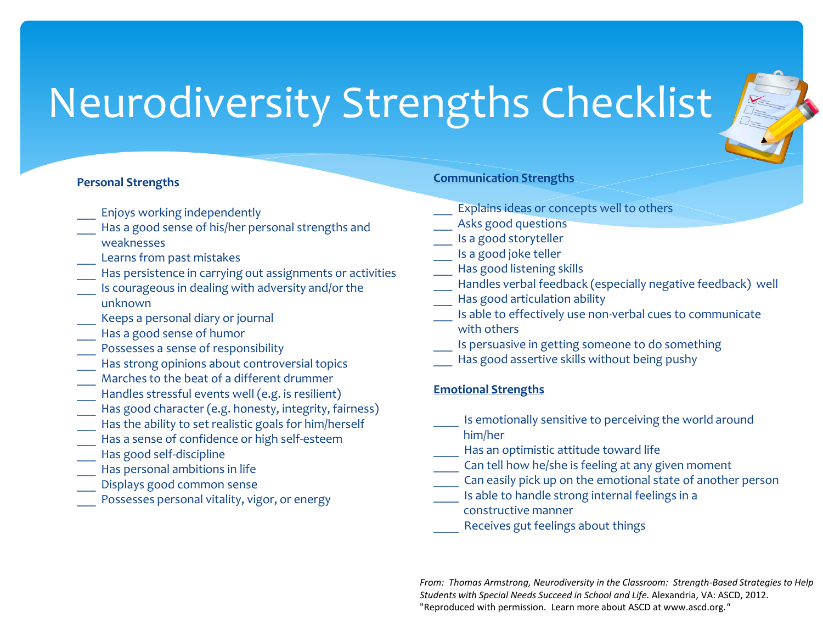### **Personal Strengths**

- Enjoys working independently
- Has a good sense of his/her personal strengths and weaknesses
- Learns from past mistakes
- Has persistence in carrying out assignments or activities
- Is courageous in dealing with adversity and/or the unknown
- Keeps a personal diary or journal
- Has a good sense of humor
- Possesses a sense of responsibility
- Has strong opinions about controversial topics
- Marches to the beat of a different drummer
- Handles stressful events well (e.g. is resilient)
- Has good character (e.g. honesty, integrity, fairness)
- Has the ability to set realistic goals for him/herself
- Has a sense of confidence or high self-esteem
- Has good self-discipline
- Has personal ambitions in life
- Displays good common sense
- Possesses personal vitality, vigor, or energy

#### **Communication Strengths**

- Explains ideas or concepts well to others
- Asks good questions
- Is a good storyteller
- \_\_\_ Is a good joke teller
- Has good listening skills
- Handles verbal feedback (especially negative feedback) well
- Has good articulation ability
- Is able to effectively use non-verbal cues to communicate with others
- Is persuasive in getting someone to do something
- Has good assertive skills without being pushy

### **Emotional Strengths**

- Is emotionally sensitive to perceiving the world around
- him/her
- Has an optimistic attitude toward life
- Can tell how he/she is feeling at any given moment
- \_\_\_\_ Can easily pick up on the emotional state of another person
- Is able to handle strong internal feelings in a
- constructive manner
- Receives gut feelings about things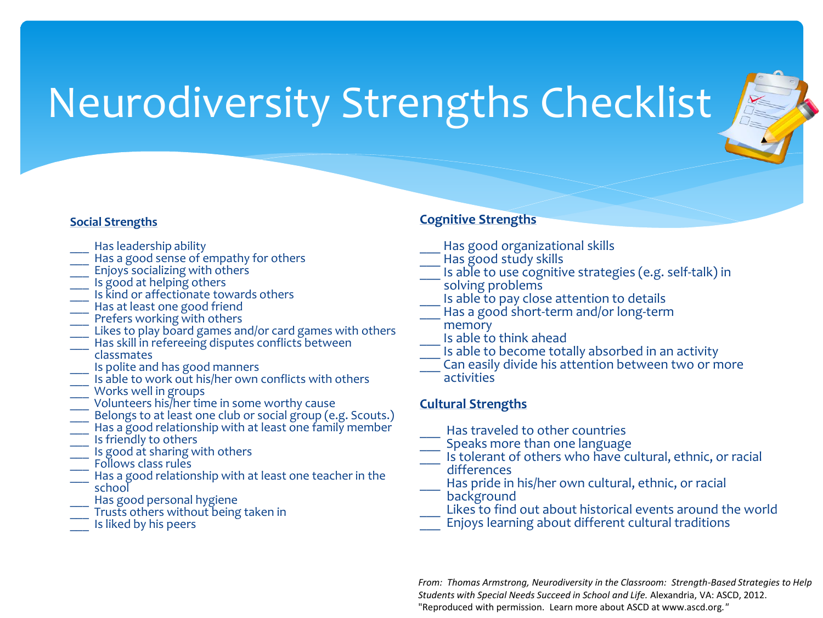

- Has leadership ability
- Has a good sense of empathy for others
- Enjoys socializing with others
- Is good at helping others
- Is kind or affectionate towards others
- Has at least one good friend
- Prefers working with others
- Likes to play board games and/or card games with others
- Has skill in refereeing disputes conflicts between classmates
- Is polite and has good manners
- <sup>-</sup> Is able to work out his/her own conflicts with others
- Works well in groups
- \_\_\_ Volunteers his/her time in some worthy cause
- Belongs to at least one club or social group (e.g. Scouts.)
- Has a good relationship with at least one family member
- \_\_\_ Is friendly to others
- Is good at sharing with others
- Follows class rules
- Has a good relationship with at least one teacher in the school
- Has good personal hygiene
- Trusts others without being taken in
- Is liked by his peers

## **Cognitive Strengths**

- Has good organizational skills
- Has good study skills
- Is able to use cognitive strategies (e.g. self-talk) in
- solving problems
- Is able to pay close attention to details
- Has a good short-term and/or long-term memory
- \_\_\_ Is able to think ahead
- Is able to become totally absorbed in an activity
- \_\_\_ Can easily divide his attention between two or more activities

## **Cultural Strengths**

- Has traveled to other countries
- Speaks more than one language
- Is tolerant of others who have cultural, ethnic, or racial
- differences
- Has pride in his/her own cultural, ethnic, or racial
- background Likes to find out about historical events around the world
- Enjoys learning about different cultural traditions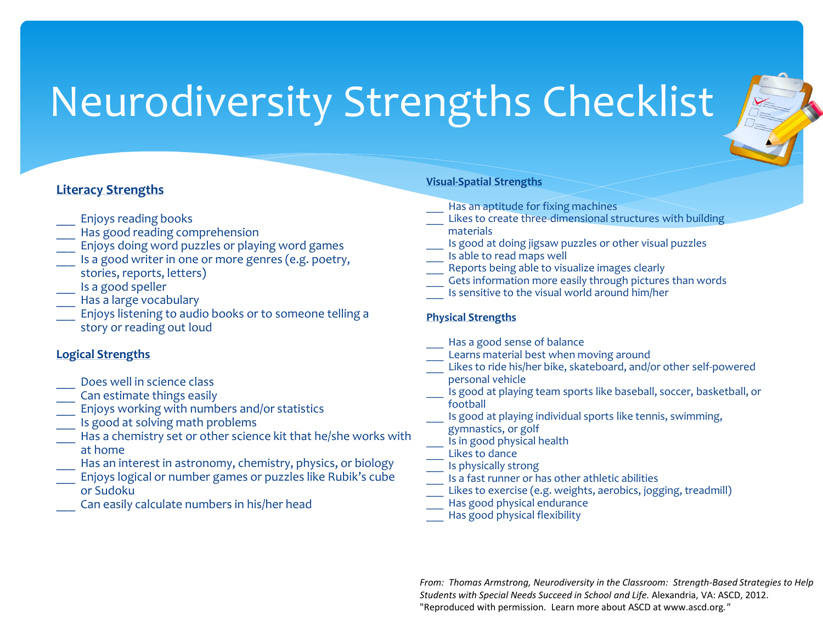

- \_\_\_ Enjoys reading books
- Has good reading comprehension
- Enjoys doing word puzzles or playing word games
- Is a good writer in one or more genres (e.g. poetry, stories, reports, letters)
- \_\_\_ Is a good speller
- Has a large vocabulary
- Enjoys listening to audio books or to someone telling a story or reading out loud

## **Logical Strengths**

- Does well in science class
- Can estimate things easily
- Enjoys working with numbers and/or statistics
- Is good at solving math problems
- Has a chemistry set or other science kit that he/she works with at home
- Has an interest in astronomy, chemistry, physics, or biology
- \_\_\_ Enjoys logical or number games or puzzles like Rubik's cube or Sudoku
- Can easily calculate numbers in his/her head

#### **Visual-Spatial Strengths**

- Has an aptitude for fixing machines
- Likes to create three-dimensional structures with building
- materials
- Is good at doing jigsaw puzzles or other visual puzzles
- Is able to read maps well
- Reports being able to visualize images clearly
- Gets information more easily through pictures than words
- Is sensitive to the visual world around him/her

### **Physical Strengths**

- Has a good sense of balance
- Learns material best when moving around
- Likes to ride his/her bike, skateboard, and/or other self-powered personal vehicle
- Is good at playing team sports like baseball, soccer, basketball, or football
- Is good at playing individual sports like tennis, swimming, gymnastics, or golf
- Is in good physical health
- Likes to dance
- Is physically strong
- Is a fast runner or has other athletic abilities
- Likes to exercise (e.g. weights, aerobics, jogging, treadmill)
- Has good physical endurance
- Has good physical flexibility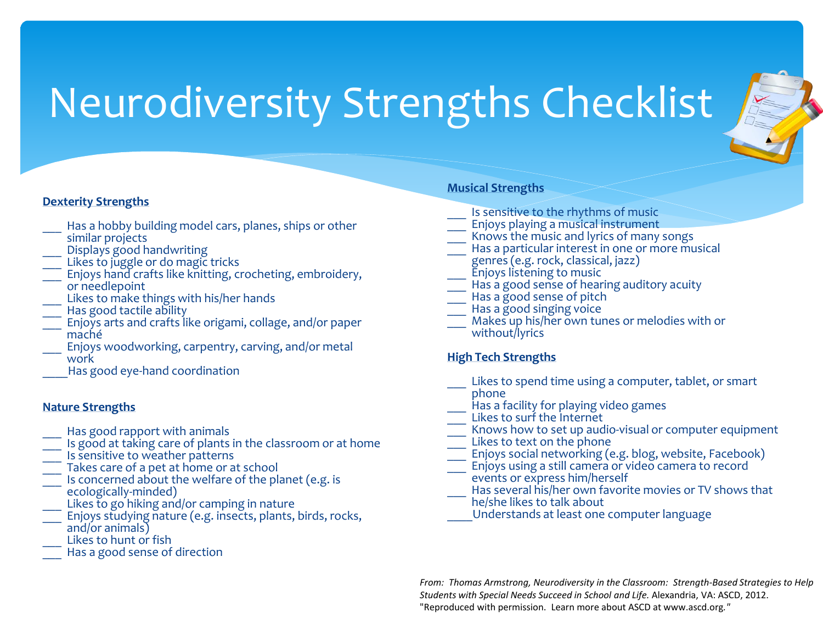

### **Dexterity Strengths**

- Has a hobby building model cars, planes, ships or other
- similar projects
- Displays good handwriting
- Likes to juggle or do magic tricks
- Enjoys hand crafts like knitting, crocheting, embroidery. or needlepoint
- Likes to make things with his/her hands
- Has good tactile ability
- \_\_\_ Enjoys arts and crafts like origami, collage, and/or paper maché
- Enjoys woodworking, carpentry, carving, and/or metal work
- Has good eye-hand coordination

#### **Nature Strengths**

- Has good rapport with animals
- Is good at taking care of plants in the classroom or at home
- Is sensitive to weather patterns
- Takes care of a pet at home or at school
- Is concerned about the welfare of the planet (e.g. is ecologically-minded)
- Likes to go hiking and/or camping in nature
- Enjoys studying nature (e.g. insects, plants, birds, rocks, and/or animals)
- Likes to hunt or fish
- Has a good sense of direction

#### **Musical Strengths**

- Is sensitive to the rhythms of music
- \_\_\_ Enjoys playing a musical instrument
- Knows the music and lyrics of many songs
- Has a particular interest in one or more musical
- genres (e.g. rock, classical, jazz) Enjoys listening to music
- Has a good sense of hearing auditory acuity
- Has a good sense of pitch
- Has a good singing voice
- Makes up his/her own tunes or melodies with or without/lyrics

### **High Tech Strengths**

- Likes to spend time using a computer, tablet, or smart phone
- Has a facility for playing video games
- Likes to surf the Internet
- Knows how to set up audio-visual or computer equipment
- Likes to text on the phone
- Enjoys social networking (e.g. blog, website, Facebook)
- Enjoys using a still camera or video camera to record events or express him/herself
- Has several his/her own favorite movies or TV shows that
- he/she likes to talk about
- \_\_\_\_Understands at least one computer language